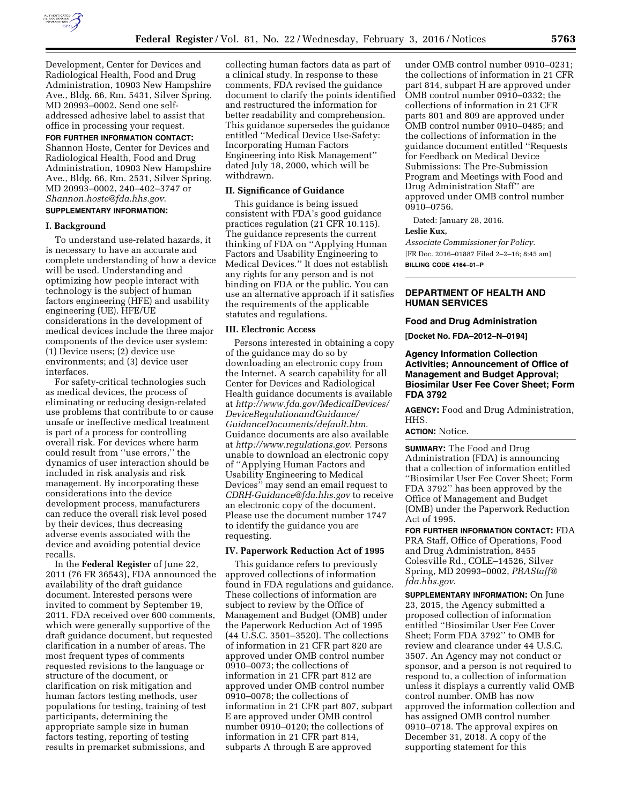

Development, Center for Devices and Radiological Health, Food and Drug Administration, 10903 New Hampshire Ave., Bldg. 66, Rm. 5431, Silver Spring, MD 20993–0002. Send one selfaddressed adhesive label to assist that office in processing your request.

#### **FOR FURTHER INFORMATION CONTACT:**

Shannon Hoste, Center for Devices and Radiological Health, Food and Drug Administration, 10903 New Hampshire Ave., Bldg. 66, Rm. 2531, Silver Spring, MD 20993–0002, 240–402–3747 or *[Shannon.hoste@fda.hhs.gov](mailto:Shannon.hoste@fda.hhs.gov)*.

# **SUPPLEMENTARY INFORMATION:**

#### **I. Background**

To understand use-related hazards, it is necessary to have an accurate and complete understanding of how a device will be used. Understanding and optimizing how people interact with technology is the subject of human factors engineering (HFE) and usability engineering (UE). HFE/UE considerations in the development of medical devices include the three major components of the device user system: (1) Device users; (2) device use environments; and (3) device user interfaces.

For safety-critical technologies such as medical devices, the process of eliminating or reducing design-related use problems that contribute to or cause unsafe or ineffective medical treatment is part of a process for controlling overall risk. For devices where harm could result from ''use errors,'' the dynamics of user interaction should be included in risk analysis and risk management. By incorporating these considerations into the device development process, manufacturers can reduce the overall risk level posed by their devices, thus decreasing adverse events associated with the device and avoiding potential device recalls.

In the **Federal Register** of June 22, 2011 (76 FR 36543), FDA announced the availability of the draft guidance document. Interested persons were invited to comment by September 19, 2011. FDA received over 600 comments, which were generally supportive of the draft guidance document, but requested clarification in a number of areas. The most frequent types of comments requested revisions to the language or structure of the document, or clarification on risk mitigation and human factors testing methods, user populations for testing, training of test participants, determining the appropriate sample size in human factors testing, reporting of testing results in premarket submissions, and

collecting human factors data as part of a clinical study. In response to these comments, FDA revised the guidance document to clarify the points identified and restructured the information for better readability and comprehension. This guidance supersedes the guidance entitled ''Medical Device Use-Safety: Incorporating Human Factors Engineering into Risk Management'' dated July 18, 2000, which will be withdrawn.

### **II. Significance of Guidance**

This guidance is being issued consistent with FDA's good guidance practices regulation (21 CFR 10.115). The guidance represents the current thinking of FDA on ''Applying Human Factors and Usability Engineering to Medical Devices.'' It does not establish any rights for any person and is not binding on FDA or the public. You can use an alternative approach if it satisfies the requirements of the applicable statutes and regulations.

#### **III. Electronic Access**

Persons interested in obtaining a copy of the guidance may do so by downloading an electronic copy from the Internet. A search capability for all Center for Devices and Radiological Health guidance documents is available at *[http://www.fda.gov/MedicalDevices/](http://www.fda.gov/MedicalDevices/DeviceRegulationandGuidance/GuidanceDocuments/default.htm) [DeviceRegulationandGuidance/](http://www.fda.gov/MedicalDevices/DeviceRegulationandGuidance/GuidanceDocuments/default.htm) [GuidanceDocuments/default.htm](http://www.fda.gov/MedicalDevices/DeviceRegulationandGuidance/GuidanceDocuments/default.htm)*. Guidance documents are also available at *<http://www.regulations.gov>*. Persons unable to download an electronic copy of ''Applying Human Factors and Usability Engineering to Medical Devices'' may send an email request to *[CDRH-Guidance@fda.hhs.gov](mailto:CDRH-Guidance@fda.hhs.gov)* to receive an electronic copy of the document. Please use the document number 1747 to identify the guidance you are requesting.

## **IV. Paperwork Reduction Act of 1995**

This guidance refers to previously approved collections of information found in FDA regulations and guidance. These collections of information are subject to review by the Office of Management and Budget (OMB) under the Paperwork Reduction Act of 1995 (44 U.S.C. 3501–3520). The collections of information in 21 CFR part 820 are approved under OMB control number 0910–0073; the collections of information in 21 CFR part 812 are approved under OMB control number 0910–0078; the collections of information in 21 CFR part 807, subpart E are approved under OMB control number 0910–0120; the collections of information in 21 CFR part 814, subparts A through E are approved

under OMB control number 0910–0231; the collections of information in 21 CFR part 814, subpart H are approved under OMB control number 0910–0332; the collections of information in 21 CFR parts 801 and 809 are approved under OMB control number 0910–0485; and the collections of information in the guidance document entitled ''Requests for Feedback on Medical Device Submissions: The Pre-Submission Program and Meetings with Food and Drug Administration Staff'' are approved under OMB control number 0910–0756.

Dated: January 28, 2016.

#### **Leslie Kux,**

*Associate Commissioner for Policy.*  [FR Doc. 2016–01887 Filed 2–2–16; 8:45 am] **BILLING CODE 4164–01–P** 

# **DEPARTMENT OF HEALTH AND HUMAN SERVICES**

#### **Food and Drug Administration**

**[Docket No. FDA–2012–N–0194]** 

## **Agency Information Collection Activities; Announcement of Office of Management and Budget Approval; Biosimilar User Fee Cover Sheet; Form FDA 3792**

**AGENCY:** Food and Drug Administration, HHS.

## **ACTION:** Notice.

**SUMMARY:** The Food and Drug Administration (FDA) is announcing that a collection of information entitled ''Biosimilar User Fee Cover Sheet; Form FDA 3792'' has been approved by the Office of Management and Budget (OMB) under the Paperwork Reduction Act of 1995.

**FOR FURTHER INFORMATION CONTACT:** FDA PRA Staff, Office of Operations, Food and Drug Administration, 8455 Colesville Rd., COLE–14526, Silver Spring, MD 20993–0002, *[PRAStaff@](mailto:PRAStaff@fda.hhs.gov) [fda.hhs.gov](mailto:PRAStaff@fda.hhs.gov)*.

**SUPPLEMENTARY INFORMATION:** On June 23, 2015, the Agency submitted a proposed collection of information entitled ''Biosimilar User Fee Cover Sheet; Form FDA 3792'' to OMB for review and clearance under 44 U.S.C. 3507. An Agency may not conduct or sponsor, and a person is not required to respond to, a collection of information unless it displays a currently valid OMB control number. OMB has now approved the information collection and has assigned OMB control number 0910–0718. The approval expires on December 31, 2018. A copy of the supporting statement for this